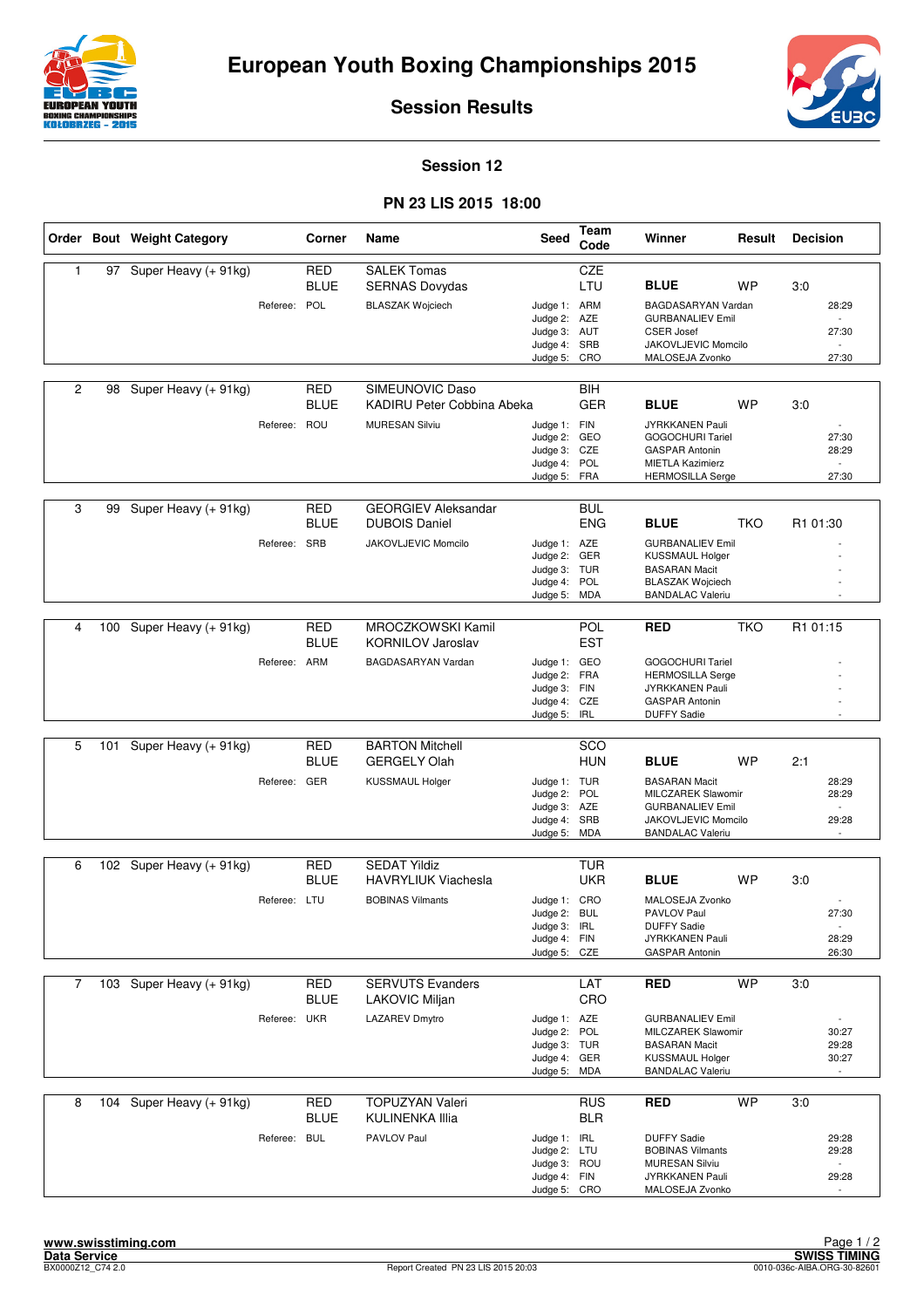



**Session Results**

## **Session 12**

## **PN 23 LIS 2015 18:00**

|                |     | Order Bout Weight Category |              | Corner                    | Name                                               | <b>Seed</b>                  | Team<br>Code             | Winner                                             | Result     | <b>Decision</b> |
|----------------|-----|----------------------------|--------------|---------------------------|----------------------------------------------------|------------------------------|--------------------------|----------------------------------------------------|------------|-----------------|
| $\mathbf{1}$   |     | 97 Super Heavy (+ 91kg)    |              | <b>RED</b><br><b>BLUE</b> | <b>SALEK Tomas</b><br><b>SERNAS Dovydas</b>        |                              | CZE<br>LTU               | <b>BLUE</b>                                        | WP         | 3:0             |
|                |     |                            | Referee: POL |                           | <b>BLASZAK Wojciech</b>                            | Judge 1: ARM<br>Judge 2: AZE |                          | BAGDASARYAN Vardan<br><b>GURBANALIEV Emil</b>      |            | 28:29           |
|                |     |                            |              |                           |                                                    | Judge 3: AUT                 |                          | <b>CSER Josef</b>                                  |            | 27:30           |
|                |     |                            |              |                           |                                                    | Judge 4: SRB<br>Judge 5: CRO |                          | JAKOVLJEVIC Momcilo<br>MALOSEJA Zvonko             |            | 27:30           |
|                |     |                            |              |                           | SIMEUNOVIC Daso                                    |                              |                          |                                                    |            |                 |
| 2              | 98  | Super Heavy (+ 91kg)       |              | <b>RED</b><br><b>BLUE</b> | KADIRU Peter Cobbina Abeka                         |                              | BIH<br><b>GER</b>        | <b>BLUE</b>                                        | <b>WP</b>  | 3:0             |
|                |     |                            | Referee: ROU |                           | <b>MURESAN Silviu</b>                              | Judge 1: FIN<br>Judge 2: GEO |                          | JYRKKANEN Pauli<br>GOGOCHURI Tariel                |            | 27:30           |
|                |     |                            |              |                           |                                                    | Judge 3: CZE                 |                          | <b>GASPAR Antonin</b>                              |            | 28:29           |
|                |     |                            |              |                           |                                                    | Judge 4: POL<br>Judge 5: FRA |                          | <b>MIETLA Kazimierz</b><br><b>HERMOSILLA Serge</b> |            | 27:30           |
|                |     |                            |              |                           |                                                    |                              |                          |                                                    |            |                 |
| 3              | 99  | Super Heavy (+ 91kg)       |              | <b>RED</b><br><b>BLUE</b> | <b>GEORGIEV Aleksandar</b><br><b>DUBOIS Daniel</b> |                              | <b>BUL</b><br><b>ENG</b> | <b>BLUE</b>                                        | <b>TKO</b> | R1 01:30        |
|                |     |                            | Referee: SRB |                           | JAKOVLJEVIC Momcilo                                | Judge 1: AZE                 |                          | <b>GURBANALIEV Emil</b>                            |            |                 |
|                |     |                            |              |                           |                                                    | Judge 2: GER<br>Judge 3: TUR |                          | <b>KUSSMAUL Holger</b><br><b>BASARAN Macit</b>     |            |                 |
|                |     |                            |              |                           |                                                    | Judge 4: POL                 |                          | <b>BLASZAK Wojciech</b>                            |            |                 |
|                |     |                            |              |                           |                                                    | Judge 5: MDA                 |                          | <b>BANDALAC Valeriu</b>                            |            |                 |
| 4              | 100 | Super Heavy (+ 91kg)       |              | <b>RED</b>                | <b>MROCZKOWSKI Kamil</b>                           |                              | POL                      | <b>RED</b>                                         | <b>TKO</b> | R1 01:15        |
|                |     |                            |              | <b>BLUE</b>               | <b>KORNILOV Jaroslav</b>                           |                              | <b>EST</b>               |                                                    |            |                 |
|                |     |                            | Referee: ARM |                           | BAGDASARYAN Vardan                                 | Judge 1: GEO                 |                          | <b>GOGOCHURI Tariel</b>                            |            |                 |
|                |     |                            |              |                           |                                                    | Judge 2: FRA<br>Judge 3: FIN |                          | <b>HERMOSILLA Serge</b><br>JYRKKANEN Pauli         |            |                 |
|                |     |                            |              |                           |                                                    | Judge 4: CZE<br>Judge 5: IRL |                          | <b>GASPAR Antonin</b><br><b>DUFFY Sadie</b>        |            |                 |
|                |     |                            |              |                           |                                                    |                              |                          |                                                    |            |                 |
| 5              | 101 | Super Heavy (+ 91kg)       |              | <b>RED</b><br><b>BLUE</b> | <b>BARTON Mitchell</b><br><b>GERGELY Olah</b>      |                              | SCO<br><b>HUN</b>        | <b>BLUE</b>                                        | <b>WP</b>  | 2:1             |
|                |     |                            | Referee: GER |                           | KUSSMAUL Holger                                    | Judge 1: TUR                 |                          | <b>BASARAN Macit</b>                               |            | 28:29           |
|                |     |                            |              |                           |                                                    | Judge 2:<br>Judge 3: AZE     | POL                      | MILCZAREK Slawomir<br><b>GURBANALIEV Emil</b>      |            | 28:29           |
|                |     |                            |              |                           |                                                    | Judge 4: SRB                 |                          | JAKOVLJEVIC Momcilo                                |            | 29:28           |
|                |     |                            |              |                           |                                                    | Judge 5: MDA                 |                          | <b>BANDALAC Valeriu</b>                            |            |                 |
| 6              |     | 102 Super Heavy (+ 91kg)   |              | <b>RED</b>                | <b>SEDAT Yildiz</b>                                |                              | <b>TUR</b>               |                                                    |            |                 |
|                |     |                            |              | <b>BLUE</b>               | <b>HAVRYLIUK Viachesla</b>                         |                              | <b>UKR</b>               | <b>BLUE</b>                                        | <b>WP</b>  | 3:0             |
|                |     |                            | Referee: LTU |                           | <b>BOBINAS Vilmants</b>                            | Judge 1: CRO<br>Judge 2: BUL |                          | MALOSEJA Zvonko<br>PAVLOV Paul                     |            | 27:30           |
|                |     |                            |              |                           |                                                    | Judge 3:                     | IRL                      | <b>DUFFY Sadie</b>                                 |            |                 |
|                |     |                            |              |                           |                                                    | Judge 4: FIN<br>Judge 5: CZE |                          | JYRKKANEN Pauli<br><b>GASPAR Antonin</b>           |            | 28:29<br>26:30  |
|                |     |                            |              |                           |                                                    |                              |                          |                                                    |            |                 |
| $\overline{7}$ |     | 103 Super Heavy (+ 91kg)   |              | <b>RED</b>                | <b>SERVUTS Evanders</b>                            |                              | LAT                      | <b>RED</b>                                         | <b>WP</b>  | 3:0             |
|                |     |                            |              | <b>BLUE</b>               | LAKOVIC Miljan                                     |                              | CRO                      |                                                    |            |                 |
|                |     |                            | Referee: UKR |                           | <b>LAZAREV Dmytro</b>                              | Judge 1: AZE<br>Judge 2: POL |                          | <b>GURBANALIEV Emil</b><br>MILCZAREK Slawomir      |            | 30:27           |
|                |     |                            |              |                           |                                                    | Judge 3: TUR                 |                          | <b>BASARAN Macit</b>                               |            | 29:28           |
|                |     |                            |              |                           |                                                    | Judge 4: GER<br>Judge 5: MDA |                          | <b>KUSSMAUL Holger</b><br><b>BANDALAC Valeriu</b>  |            | 30:27           |
|                |     |                            |              |                           |                                                    |                              |                          |                                                    |            |                 |
| 8              |     | 104 Super Heavy (+ 91kg)   |              | RED<br><b>BLUE</b>        | TOPUZYAN Valeri<br>KULINENKA Illia                 |                              | <b>RUS</b><br><b>BLR</b> | <b>RED</b>                                         | <b>WP</b>  | 3:0             |
|                |     |                            | Referee: BUL |                           | PAVLOV Paul                                        | Judge 1: IRL                 |                          | <b>DUFFY Sadie</b>                                 |            | 29:28           |
|                |     |                            |              |                           |                                                    | Judge 2: LTU<br>Judge 3: ROU |                          | <b>BOBINAS Vilmants</b><br><b>MURESAN Silviu</b>   |            | 29:28           |
|                |     |                            |              |                           |                                                    | Judge 4: FIN<br>Judge 5: CRO |                          | JYRKKANEN Pauli<br>MALOSEJA Zvonko                 |            | 29:28           |
|                |     |                            |              |                           |                                                    |                              |                          |                                                    |            |                 |